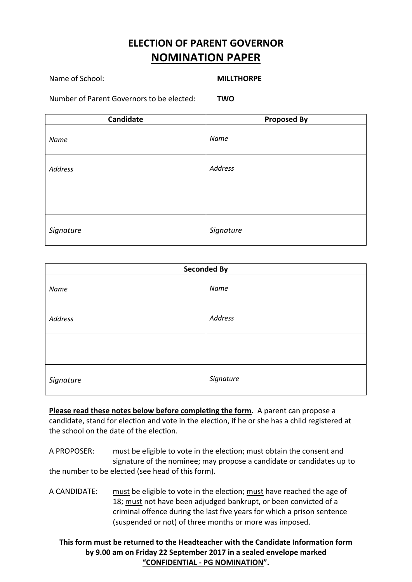# **ELECTION OF PARENT GOVERNOR NOMINATION PAPER**

### Name of School: **MILLTHORPE**

Number of Parent Governors to be elected: **TWO**

| Candidate | <b>Proposed By</b> |
|-----------|--------------------|
| Name      | Name               |
| Address   | Address            |
|           |                    |
| Signature | Signature          |

| <b>Seconded By</b> |                |
|--------------------|----------------|
| Name               | Name           |
| Address            | <b>Address</b> |
|                    |                |
| Signature          | Signature      |

**Please read these notes below before completing the form.** A parent can propose a candidate, stand for election and vote in the election, if he or she has a child registered at the school on the date of the election.

A PROPOSER: must be eligible to vote in the election; must obtain the consent and signature of the nominee; may propose a candidate or candidates up to the number to be elected (see head of this form).

A CANDIDATE: must be eligible to vote in the election; must have reached the age of 18; must not have been adjudged bankrupt, or been convicted of a criminal offence during the last five years for which a prison sentence (suspended or not) of three months or more was imposed.

**This form must be returned to the Headteacher with the Candidate Information form by 9.00 am on Friday 22 September 2017 in a sealed envelope marked "CONFIDENTIAL ‐ PG NOMINATION".**